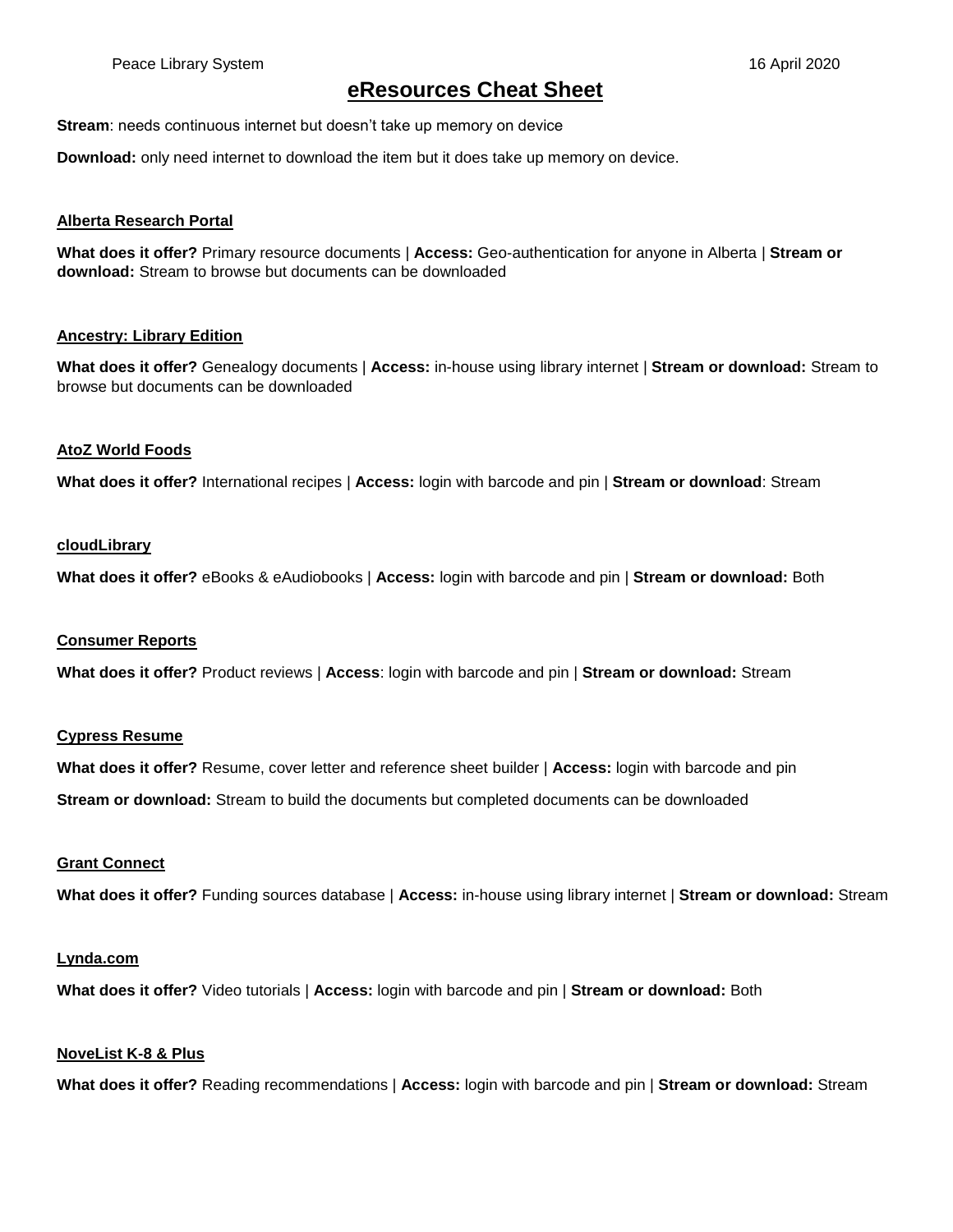# **eResources Cheat Sheet**

**Stream**: needs continuous internet but doesn't take up memory on device

**Download:** only need internet to download the item but it does take up memory on device.

## **Alberta Research Portal**

**What does it offer?** Primary resource documents | **Access:** Geo-authentication for anyone in Alberta | **Stream or download:** Stream to browse but documents can be downloaded

# **Ancestry: Library Edition**

**What does it offer?** Genealogy documents | **Access:** in-house using library internet | **Stream or download:** Stream to browse but documents can be downloaded

## **AtoZ World Foods**

**What does it offer?** International recipes | **Access:** login with barcode and pin | **Stream or download**: Stream

## **cloudLibrary**

**What does it offer?** eBooks & eAudiobooks | **Access:** login with barcode and pin | **Stream or download:** Both

## **Consumer Reports**

**What does it offer?** Product reviews | **Access**: login with barcode and pin | **Stream or download:** Stream

## **Cypress Resume**

**What does it offer?** Resume, cover letter and reference sheet builder | **Access:** login with barcode and pin **Stream or download:** Stream to build the documents but completed documents can be downloaded

# **Grant Connect**

**What does it offer?** Funding sources database | **Access:** in-house using library internet | **Stream or download:** Stream

## **Lynda.com**

**What does it offer?** Video tutorials | **Access:** login with barcode and pin | **Stream or download:** Both

## **NoveList K-8 & Plus**

**What does it offer?** Reading recommendations | **Access:** login with barcode and pin | **Stream or download:** Stream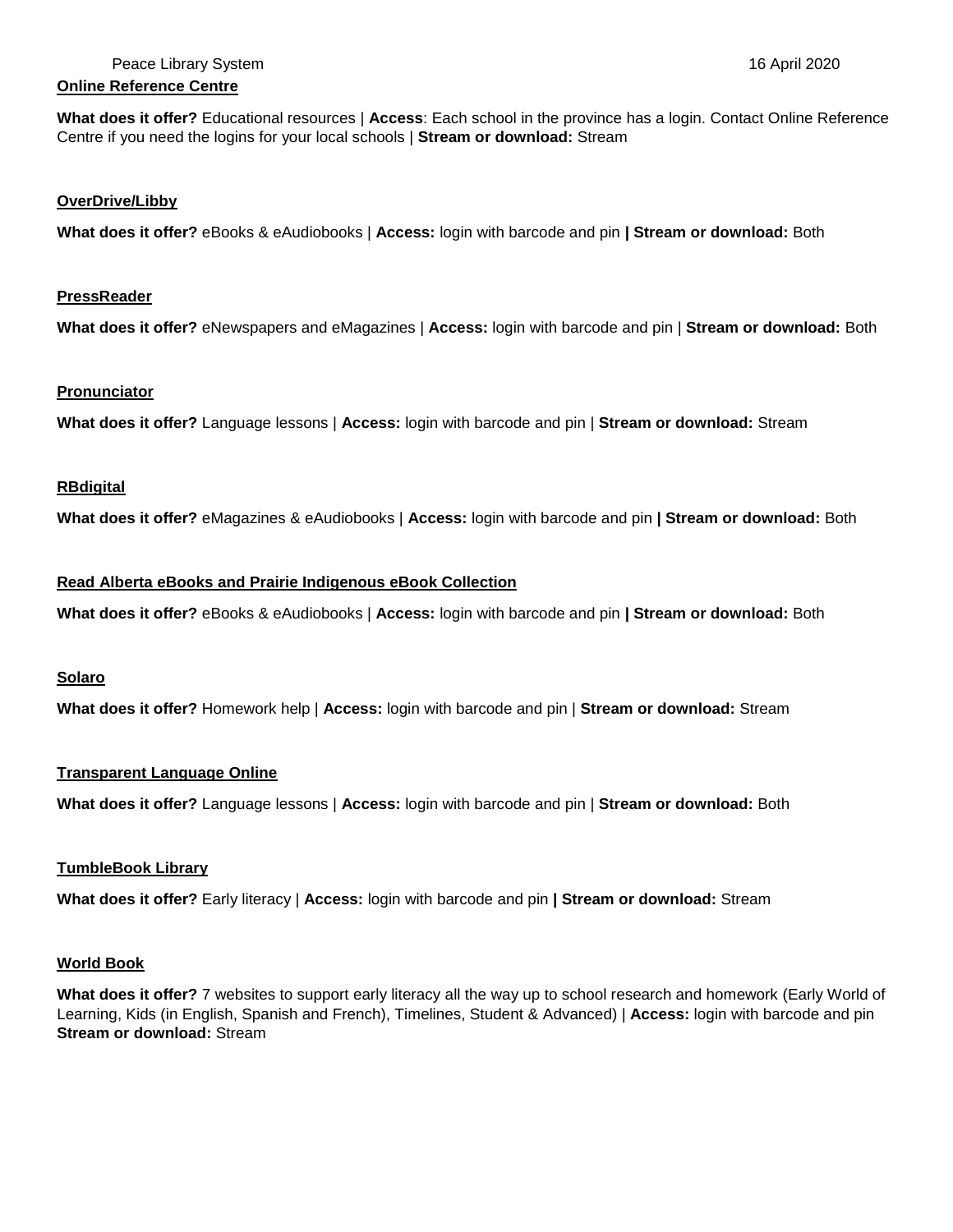# **Online Reference Centre**

**What does it offer?** Educational resources | **Access**: Each school in the province has a login. Contact Online Reference Centre if you need the logins for your local schools | **Stream or download:** Stream

## **OverDrive/Libby**

**What does it offer?** eBooks & eAudiobooks | **Access:** login with barcode and pin **| Stream or download:** Both

## **PressReader**

**What does it offer?** eNewspapers and eMagazines | **Access:** login with barcode and pin | **Stream or download:** Both

## **Pronunciator**

**What does it offer?** Language lessons | **Access:** login with barcode and pin | **Stream or download:** Stream

# **RBdigital**

**What does it offer?** eMagazines & eAudiobooks | **Access:** login with barcode and pin **| Stream or download:** Both

# **Read Alberta eBooks and Prairie Indigenous eBook Collection**

**What does it offer?** eBooks & eAudiobooks | **Access:** login with barcode and pin **| Stream or download:** Both

# **Solaro**

**What does it offer?** Homework help | **Access:** login with barcode and pin | **Stream or download:** Stream

## **Transparent Language Online**

**What does it offer?** Language lessons | **Access:** login with barcode and pin | **Stream or download:** Both

# **TumbleBook Library**

**What does it offer?** Early literacy | **Access:** login with barcode and pin **| Stream or download:** Stream

# **World Book**

**What does it offer?** 7 websites to support early literacy all the way up to school research and homework (Early World of Learning, Kids (in English, Spanish and French), Timelines, Student & Advanced) | **Access:** login with barcode and pin **Stream or download:** Stream